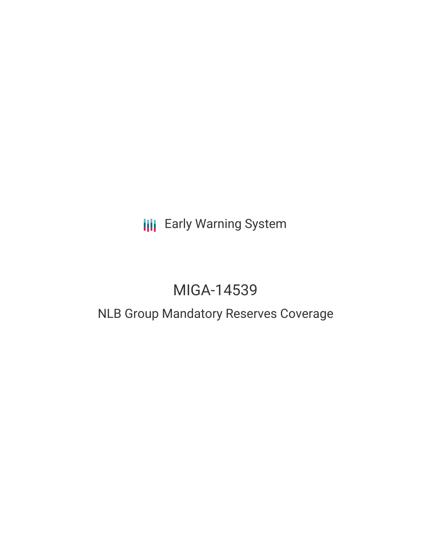# **III** Early Warning System

# MIGA-14539

## NLB Group Mandatory Reserves Coverage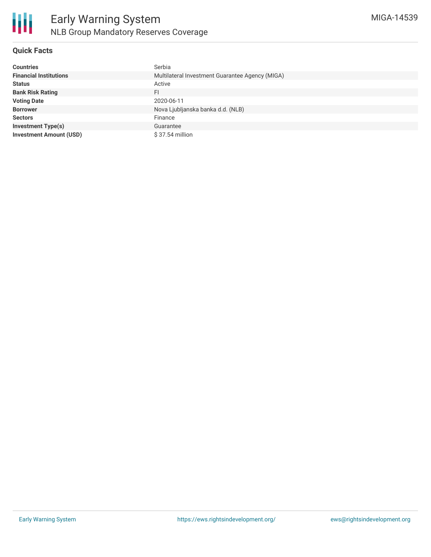

#### **Quick Facts**

| <b>Countries</b>               | Serbia                                          |
|--------------------------------|-------------------------------------------------|
| <b>Financial Institutions</b>  | Multilateral Investment Guarantee Agency (MIGA) |
| <b>Status</b>                  | Active                                          |
| <b>Bank Risk Rating</b>        | FI                                              |
| <b>Voting Date</b>             | 2020-06-11                                      |
| <b>Borrower</b>                | Nova Ljubljanska banka d.d. (NLB)               |
| <b>Sectors</b>                 | Finance                                         |
| <b>Investment Type(s)</b>      | Guarantee                                       |
| <b>Investment Amount (USD)</b> | $$37.54$ million                                |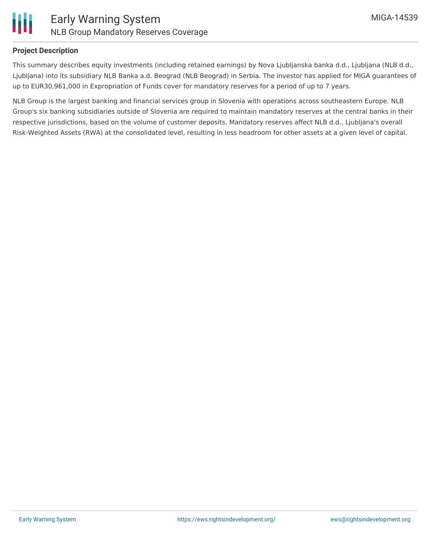

#### **Project Description**

This summary describes equity investments (including retained earnings) by Nova Ljubljanska banka d.d., Ljubljana (NLB d.d., Ljubljana) into its subsidiary NLB Banka a.d. Beograd (NLB Beograd) in Serbia. The investor has applied for MIGA guarantees of up to EUR30,961,000 in Expropriation of Funds cover for mandatory reserves for a period of up to 7 years.

NLB Group is the largest banking and financial services group in Slovenia with operations across southeastern Europe. NLB Group's six banking subsidiaries outside of Slovenia are required to maintain mandatory reserves at the central banks in their respective jurisdictions, based on the volume of customer deposits. Mandatory reserves affect NLB d.d., Ljubljana's overall Risk-Weighted Assets (RWA) at the consolidated level, resulting in less headroom for other assets at a given level of capital.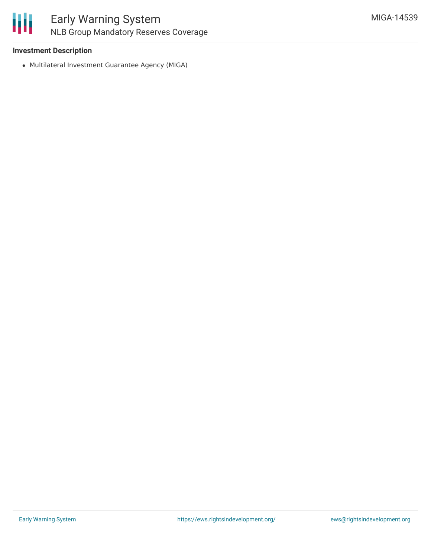

### Early Warning System NLB Group Mandatory Reserves Coverage

#### **Investment Description**

Multilateral Investment Guarantee Agency (MIGA)